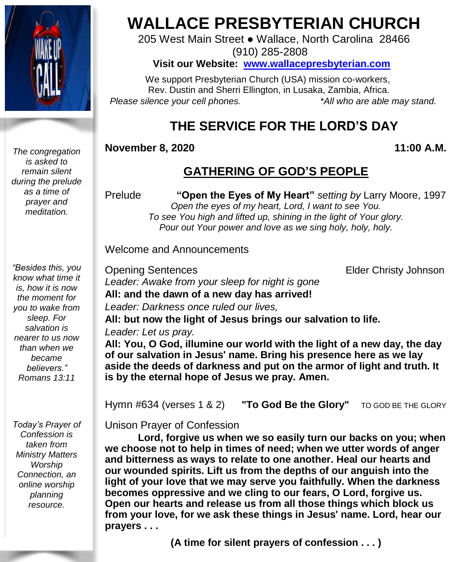

*The congregation is asked to remain silent during the prelude as a time of prayer and meditation.*

*"Besides this, you know what time it is, how it is now the moment for you to wake from sleep. For salvation is nearer to us now than when we became believers." Romans 13:11*

*Today's Prayer of Confession is taken from Ministry Matters Worship Connection, an online worship planning resource.*

# **WALLACE PRESBYTERIAN CHURCH**

205 West Main Street ● Wallace, North Carolina 28466 (910) 285-2808

**Visit our Website: [www.wallacepresbyterian.com](http://www.wallacepresbyterian.com/)**

 We support Presbyterian Church (USA) mission co-workers, Rev. Dustin and Sherri Ellington, in Lusaka, Zambia, Africa. *Please silence your cell phones. \*All who are able may stand.*

## **THE SERVICE FOR THE LORD'S DAY**

#### **November 8, 2020 11:00 A.M.**

## **GATHERING OF GOD'S PEOPLE**

Prelude **"Open the Eyes of My Heart"** *setting by* Larry Moore, 1997 *Open the eyes of my heart, Lord, I want to see You. To see You high and lifted up, shining in the light of Your glory. Pour out Your power and love as we sing holy, holy, holy.*

Welcome and Announcements

Opening Sentences Elder Christy Johnson *Leader: Awake from your sleep for night is gone* **All: and the dawn of a new day has arrived!** *Leader: Darkness once ruled our lives,* **All: but now the light of Jesus brings our salvation to life.**

*Leader: Let us pray.*

**All: You, O God, illumine our world with the light of a new day, the day of our salvation in Jesus**' **name. Bring his presence here as we lay aside the deeds of darkness and put on the armor of light and truth. It is by the eternal hope of Jesus we pray. Amen.**

Hymn #634 (verses 1 & 2) **"To God Be the Glory"** TO GOD BE THE GLORY

Unison Prayer of Confession

**Lord, forgive us when we so easily turn our backs on you; when we choose not to help in times of need; when we utter words of anger and bitterness as ways to relate to one another. Heal our hearts and our wounded spirits. Lift us from the depths of our anguish into the light of your love that we may serve you faithfully. When the darkness becomes oppressive and we cling to our fears, O Lord, forgive us. Open our hearts and release us from all those things which block us from your love, for we ask these things in Jesus**' **name. Lord, hear our prayers . . .**

**(A time for silent prayers of confession . . . )**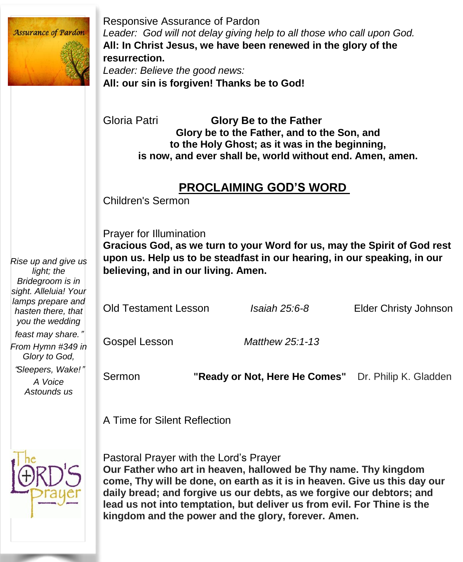

*Rise up and give us*

*Glory to God,*

*A Voice Astounds us* Responsive Assurance of Pardon *Leader: God will not delay giving help to all those who call upon God.* **All: In Christ Jesus, we have been renewed in the glory of the resurrection.**

*Leader: Believe the good news:* **All: our sin is forgiven! Thanks be to God!**

Gloria Patri **Glory Be to the Father Glory be to the Father, and to the Son, and to the Holy Ghost; as it was in the beginning, is now, and ever shall be, world without end. Amen, amen.**

#### **PROCLAIMING GOD'S WORD**

Children's Sermon

Prayer for Illumination

**Gracious God, as we turn to your Word for us, may the Spirit of God rest upon us. Help us to be steadfast in our hearing, in our speaking, in our believing, and in our living. Amen.**

Old Testament Lesson *Isaiah 25:6-8* Elder Christy Johnson Gospel Lesson *Matthew 25:1-13*

"*Sleepers, Wake!*"

Sermon **"Ready or Not, Here He Comes"** Dr. Philip K. Gladden

A Time for Silent Reflection



Pastoral Prayer with the Lord's Prayer **Our Father who art in heaven, hallowed be Thy name. Thy kingdom come, Thy will be done, on earth as it is in heaven. Give us this day our daily bread; and forgive us our debts, as we forgive our debtors; and lead us not into temptation, but deliver us from evil. For Thine is the kingdom and the power and the glory, forever. Amen.**

*light; the Bridegroom is in sight. Alleluia! Your lamps prepare and hasten there, that you the wedding feast may share.*" *From Hymn #349 in*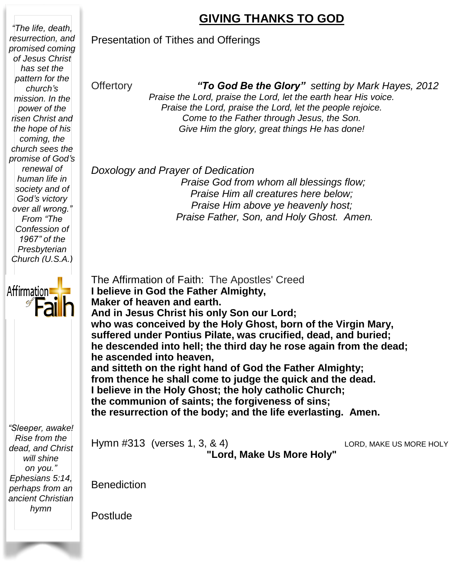### **GIVING THANKS TO GOD**

#### Presentation of Tithes and Offerings

#### Offertory *"To God Be the Glory" setting by Mark Hayes, 2012*

*Praise the Lord, praise the Lord, let the earth hear His voice. Praise the Lord, praise the Lord, let the people rejoice. Come to the Father through Jesus, the Son. Give Him the glory, great things He has done!*

#### *Doxology and Prayer of Dedication*

*Praise God from whom all blessings flow; Praise Him all creatures here below; Praise Him above ye heavenly host; Praise Father, Son, and Holy Ghost. Amen.*

The Affirmation of Faith: The Apostles' Creed **I believe in God the Father Almighty, Maker of heaven and earth. And in Jesus Christ his only Son our Lord; who was conceived by the Holy Ghost, born of the Virgin Mary, suffered under Pontius Pilate, was crucified, dead, and buried; he descended into hell; the third day he rose again from the dead; he ascended into heaven, and sitteth on the right hand of God the Father Almighty; from thence he shall come to judge the quick and the dead. I believe in the Holy Ghost; the holy catholic Church; the communion of saints; the forgiveness of sins; the resurrection of the body; and the life everlasting. Amen.**

*"Sleeper, awake! Rise from the dead, and Christ will shine on you." Ephesians 5:14, perhaps from an ancient Christian hymn*

Hymn #313 (verses 1, 3, & 4) LORD, MAKE US MORE HOLY

**"Lord, Make Us More Holy"**

**Benediction** 

Postlude

*power of the risen Christ and the hope of his coming, the church sees the promise of God's renewal of human life in society and of God's victory over all wrong." From "The Confession of 1967" of the Presbyterian Church (U.S.A.)*

*"The life, death, resurrection, and promised coming of Jesus Christ has set the pattern for the church's mission. In the*